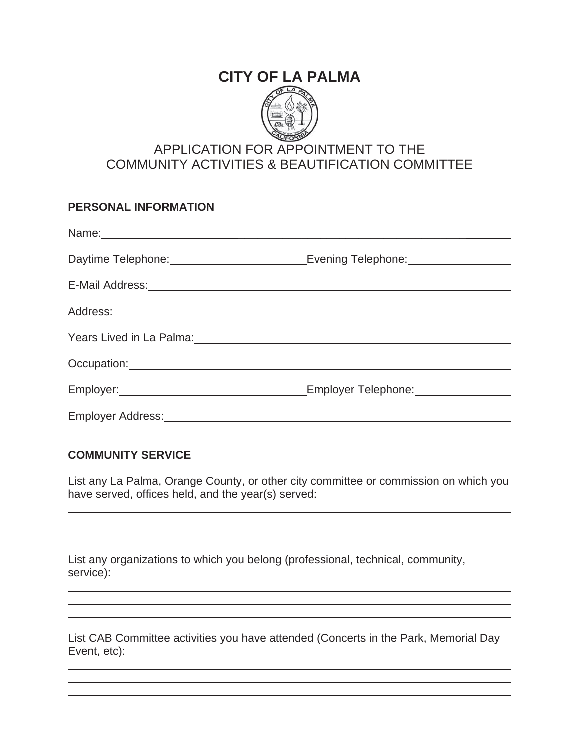# **CITY OF LA PALMA**



# APPLICATION FOR APPOINTMENT TO THE COMMUNITY ACTIVITIES & BEAUTIFICATION COMMITTEE

# **PERSONAL INFORMATION**  Name: \_\_\_\_\_\_\_\_\_\_\_\_\_\_\_\_\_\_\_\_\_\_\_\_\_\_\_\_\_\_\_\_\_\_\_\_ Daytime Telephone: Evening Telephone: E-Mail Address: Address: Years Lived in La Palma: Occupation: experience of the second service of the service of the service of the service of the service of the service of the service of the service of the service of the service of the service of the service of the servi Employer: Employer Telephone: Employer Telephone: Employer Address:

# **COMMUNITY SERVICE**

List any La Palma, Orange County, or other city committee or commission on which you have served, offices held, and the year(s) served:

List any organizations to which you belong (professional, technical, community, service):

List CAB Committee activities you have attended (Concerts in the Park, Memorial Day Event, etc):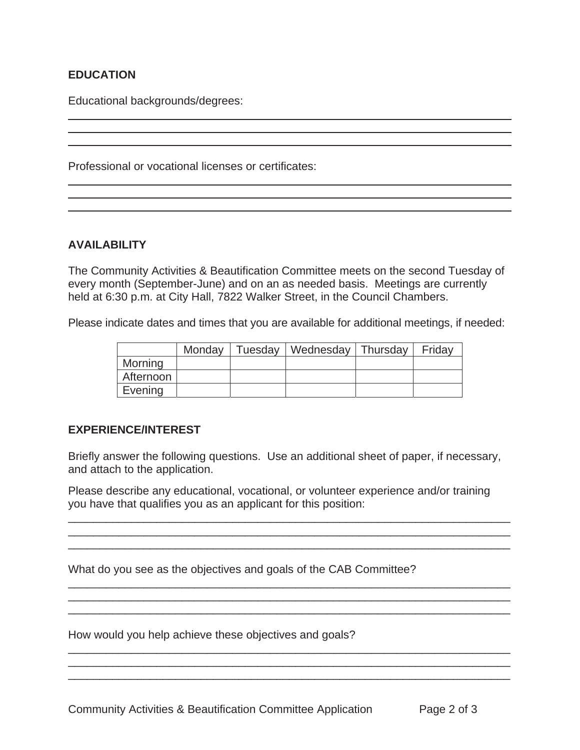# **EDUCATION**

Educational backgrounds/degrees:

Professional or vocational licenses or certificates:

## **AVAILABILITY**

The Community Activities & Beautification Committee meets on the second Tuesday of every month (September-June) and on an as needed basis. Meetings are currently held at 6:30 p.m. at City Hall, 7822 Walker Street, in the Council Chambers.

Please indicate dates and times that you are available for additional meetings, if needed:

|           | Monday | Tuesday   Wednesday   Thursday | Friday |
|-----------|--------|--------------------------------|--------|
| Morning   |        |                                |        |
| Afternoon |        |                                |        |
| Evening   |        |                                |        |

# **EXPERIENCE/INTEREST**

Briefly answer the following questions. Use an additional sheet of paper, if necessary, and attach to the application.

Please describe any educational, vocational, or volunteer experience and/or training you have that qualifies you as an applicant for this position:

 $\overline{\phantom{a}}$  ,  $\overline{\phantom{a}}$  ,  $\overline{\phantom{a}}$  ,  $\overline{\phantom{a}}$  ,  $\overline{\phantom{a}}$  ,  $\overline{\phantom{a}}$  ,  $\overline{\phantom{a}}$  ,  $\overline{\phantom{a}}$  ,  $\overline{\phantom{a}}$  ,  $\overline{\phantom{a}}$  ,  $\overline{\phantom{a}}$  ,  $\overline{\phantom{a}}$  ,  $\overline{\phantom{a}}$  ,  $\overline{\phantom{a}}$  ,  $\overline{\phantom{a}}$  ,  $\overline{\phantom{a}}$ \_\_\_\_\_\_\_\_\_\_\_\_\_\_\_\_\_\_\_\_\_\_\_\_\_\_\_\_\_\_\_\_\_\_\_\_\_\_\_\_\_\_\_\_\_\_\_\_\_\_\_\_\_\_\_\_\_\_\_\_\_\_\_\_\_\_\_\_\_\_ \_\_\_\_\_\_\_\_\_\_\_\_\_\_\_\_\_\_\_\_\_\_\_\_\_\_\_\_\_\_\_\_\_\_\_\_\_\_\_\_\_\_\_\_\_\_\_\_\_\_\_\_\_\_\_\_\_\_\_\_\_\_\_\_\_\_\_\_\_\_

\_\_\_\_\_\_\_\_\_\_\_\_\_\_\_\_\_\_\_\_\_\_\_\_\_\_\_\_\_\_\_\_\_\_\_\_\_\_\_\_\_\_\_\_\_\_\_\_\_\_\_\_\_\_\_\_\_\_\_\_\_\_\_\_\_\_\_\_\_\_

\_\_\_\_\_\_\_\_\_\_\_\_\_\_\_\_\_\_\_\_\_\_\_\_\_\_\_\_\_\_\_\_\_\_\_\_\_\_\_\_\_\_\_\_\_\_\_\_\_\_\_\_\_\_\_\_\_\_\_\_\_\_\_\_\_\_\_\_\_\_ \_\_\_\_\_\_\_\_\_\_\_\_\_\_\_\_\_\_\_\_\_\_\_\_\_\_\_\_\_\_\_\_\_\_\_\_\_\_\_\_\_\_\_\_\_\_\_\_\_\_\_\_\_\_\_\_\_\_\_\_\_\_\_\_\_\_\_\_\_\_

 $\overline{\phantom{a}}$  ,  $\overline{\phantom{a}}$  ,  $\overline{\phantom{a}}$  ,  $\overline{\phantom{a}}$  ,  $\overline{\phantom{a}}$  ,  $\overline{\phantom{a}}$  ,  $\overline{\phantom{a}}$  ,  $\overline{\phantom{a}}$  ,  $\overline{\phantom{a}}$  ,  $\overline{\phantom{a}}$  ,  $\overline{\phantom{a}}$  ,  $\overline{\phantom{a}}$  ,  $\overline{\phantom{a}}$  ,  $\overline{\phantom{a}}$  ,  $\overline{\phantom{a}}$  ,  $\overline{\phantom{a}}$ 

What do you see as the objectives and goals of the CAB Committee?

How would you help achieve these objectives and goals?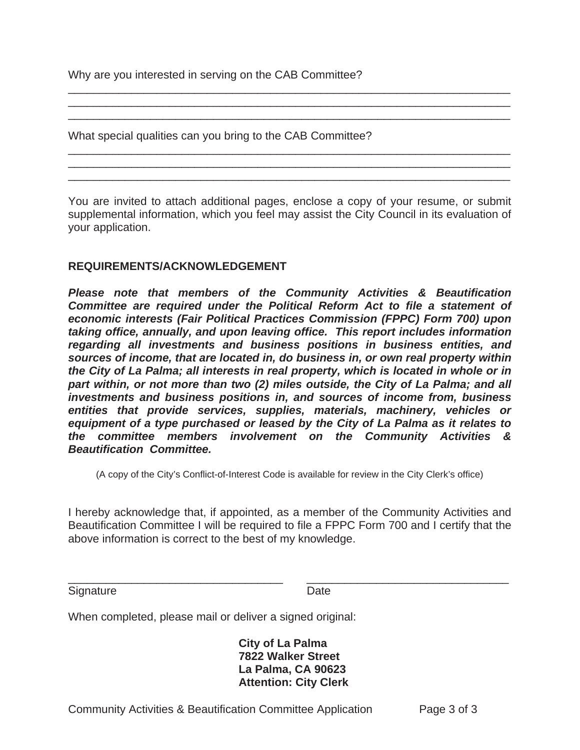Why are you interested in serving on the CAB Committee?

What special qualities can you bring to the CAB Committee?

You are invited to attach additional pages, enclose a copy of your resume, or submit supplemental information, which you feel may assist the City Council in its evaluation of your application.

\_\_\_\_\_\_\_\_\_\_\_\_\_\_\_\_\_\_\_\_\_\_\_\_\_\_\_\_\_\_\_\_\_\_\_\_\_\_\_\_\_\_\_\_\_\_\_\_\_\_\_\_\_\_\_\_\_\_\_\_\_\_\_\_\_\_\_\_\_\_ \_\_\_\_\_\_\_\_\_\_\_\_\_\_\_\_\_\_\_\_\_\_\_\_\_\_\_\_\_\_\_\_\_\_\_\_\_\_\_\_\_\_\_\_\_\_\_\_\_\_\_\_\_\_\_\_\_\_\_\_\_\_\_\_\_\_\_\_\_\_ \_\_\_\_\_\_\_\_\_\_\_\_\_\_\_\_\_\_\_\_\_\_\_\_\_\_\_\_\_\_\_\_\_\_\_\_\_\_\_\_\_\_\_\_\_\_\_\_\_\_\_\_\_\_\_\_\_\_\_\_\_\_\_\_\_\_\_\_\_\_

\_\_\_\_\_\_\_\_\_\_\_\_\_\_\_\_\_\_\_\_\_\_\_\_\_\_\_\_\_\_\_\_\_\_\_\_\_\_\_\_\_\_\_\_\_\_\_\_\_\_\_\_\_\_\_\_\_\_\_\_\_\_\_\_\_\_\_\_\_\_ \_\_\_\_\_\_\_\_\_\_\_\_\_\_\_\_\_\_\_\_\_\_\_\_\_\_\_\_\_\_\_\_\_\_\_\_\_\_\_\_\_\_\_\_\_\_\_\_\_\_\_\_\_\_\_\_\_\_\_\_\_\_\_\_\_\_\_\_\_\_ \_\_\_\_\_\_\_\_\_\_\_\_\_\_\_\_\_\_\_\_\_\_\_\_\_\_\_\_\_\_\_\_\_\_\_\_\_\_\_\_\_\_\_\_\_\_\_\_\_\_\_\_\_\_\_\_\_\_\_\_\_\_\_\_\_\_\_\_\_\_

### **REQUIREMENTS/ACKNOWLEDGEMENT**

*Please note that members of the Community Activities & Beautification Committee are required under the Political Reform Act to file a statement of economic interests (Fair Political Practices Commission (FPPC) Form 700) upon taking office, annually, and upon leaving office. This report includes information regarding all investments and business positions in business entities, and sources of income, that are located in, do business in, or own real property within the City of La Palma; all interests in real property, which is located in whole or in part within, or not more than two (2) miles outside, the City of La Palma; and all investments and business positions in, and sources of income from, business entities that provide services, supplies, materials, machinery, vehicles or equipment of a type purchased or leased by the City of La Palma as it relates to the committee members involvement on the Community Activities & Beautification Committee.* 

(A copy of the City's Conflict-of-Interest Code is available for review in the City Clerk's office)

I hereby acknowledge that, if appointed, as a member of the Community Activities and Beautification Committee I will be required to file a FPPC Form 700 and I certify that the above information is correct to the best of my knowledge.

\_\_\_\_\_\_\_\_\_\_\_\_\_\_\_\_\_\_\_\_\_\_\_\_\_\_\_\_\_\_\_\_\_\_ \_\_\_\_\_\_\_\_\_\_\_\_\_\_\_\_\_\_\_\_\_\_\_\_\_\_\_\_\_\_\_\_

| Signature | Date |
|-----------|------|
|           |      |

When completed, please mail or deliver a signed original:

**City of La Palma 7822 Walker Street La Palma, CA 90623 Attention: City Clerk**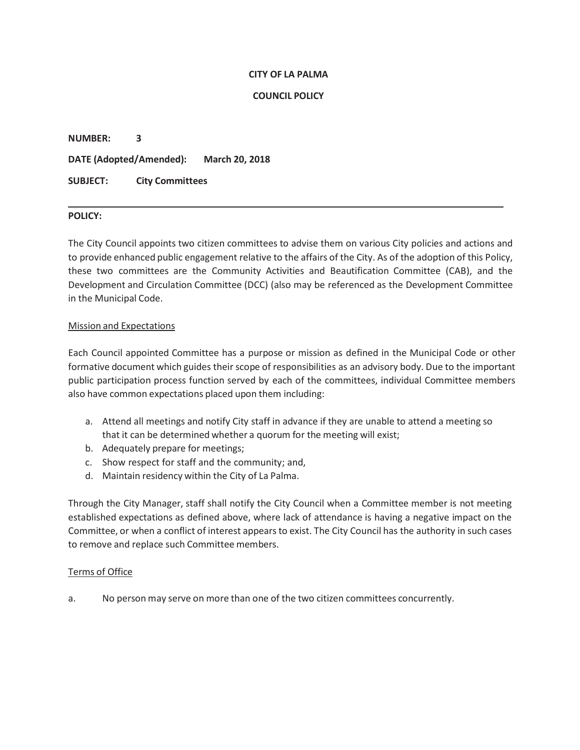#### **CITY OF LA PALMA**

#### **COUNCIL POLICY**

**NUMBER: 3 DATE (Adopted/Amended): March 20, 2018 SUBJECT: City Committees**

#### **POLICY:**

The City Council appoints two citizen committees to advise them on various City policies and actions and to provide enhanced public engagement relative to the affairs of the City. As of the adoption of this Policy, these two committees are the Community Activities and Beautification Committee (CAB), and the Development and Circulation Committee (DCC) (also may be referenced as the Development Committee in the Municipal Code.

#### Mission and Expectations

Each Council appointed Committee has a purpose or mission as defined in the Municipal Code or other formative document which guides their scope of responsibilities as an advisory body. Due to the important public participation process function served by each of the committees, individual Committee members also have common expectations placed upon them including:

- a. Attend all meetings and notify City staff in advance if they are unable to attend a meeting so that it can be determined whether a quorum for the meeting will exist;
- b. Adequately prepare for meetings;
- c. Show respect for staff and the community; and,
- d. Maintain residency within the City of La Palma.

Through the City Manager, staff shall notify the City Council when a Committee member is not meeting established expectations as defined above, where lack of attendance is having a negative impact on the Committee, or when a conflict of interest appears to exist. The City Council has the authority in such cases to remove and replace such Committee members.

#### Terms of Office

a. No person may serve on more than one of the two citizen committees concurrently.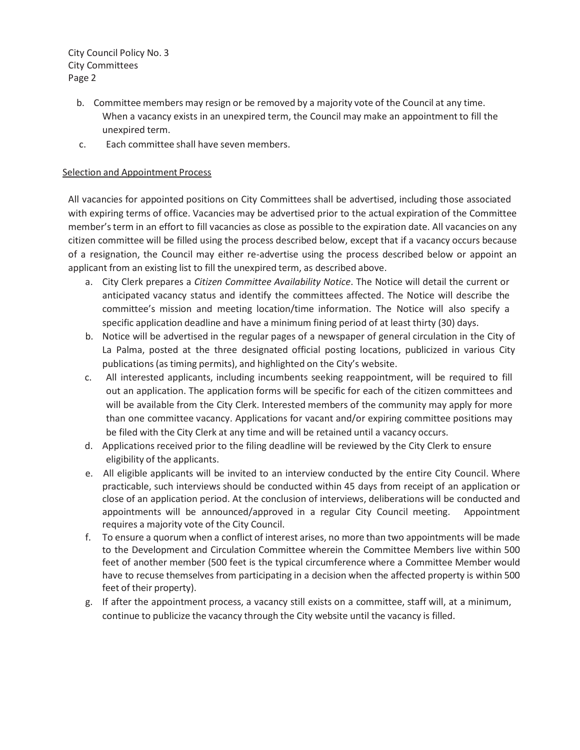City Council Policy No. 3 City Committees Page 2

- b. Committee members may resign or be removed by a majority vote of the Council at any time. When a vacancy exists in an unexpired term, the Council may make an appointment to fill the unexpired term.
- c. Each committee shall have seven members.

#### Selection and Appointment Process

All vacancies for appointed positions on City Committees shall be advertised, including those associated with expiring terms of office. Vacancies may be advertised prior to the actual expiration of the Committee member's term in an effort to fill vacancies as close as possible to the expiration date. All vacancies on any citizen committee will be filled using the process described below, except that if a vacancy occurs because of a resignation, the Council may either re-advertise using the process described below or appoint an applicant from an existing list to fill the unexpired term, as described above.

- a. City Clerk prepares a *Citizen Committee Availability Notice*. The Notice will detail the current or anticipated vacancy status and identify the committees affected. The Notice will describe the committee's mission and meeting location/time information. The Notice will also specify a specific application deadline and have a minimum fining period of at least thirty (30) days.
- b. Notice will be advertised in the regular pages of a newspaper of general circulation in the City of La Palma, posted at the three designated official posting locations, publicized in various City publications (as timing permits), and highlighted on the City's website.
- c. All interested applicants, including incumbents seeking reappointment, will be required to fill out an application. The application forms will be specific for each of the citizen committees and will be available from the City Clerk. Interested members of the community may apply for more than one committee vacancy. Applications for vacant and/or expiring committee positions may be filed with the City Clerk at any time and will be retained until a vacancy occurs.
- d. Applications received prior to the filing deadline will be reviewed by the City Clerk to ensure eligibility of the applicants.
- e. All eligible applicants will be invited to an interview conducted by the entire City Council. Where practicable, such interviews should be conducted within 45 days from receipt of an application or close of an application period. At the conclusion of interviews, deliberations will be conducted and appointments will be announced/approved in a regular City Council meeting. Appointment requires a majority vote of the City Council.
- f. To ensure a quorum when a conflict of interest arises, no more than two appointments will be made to the Development and Circulation Committee wherein the Committee Members live within 500 feet of another member (500 feet is the typical circumference where a Committee Member would have to recuse themselves from participating in a decision when the affected property is within 500 feet of their property).
- g. If after the appointment process, a vacancy still exists on a committee, staff will, at a minimum, continue to publicize the vacancy through the City website until the vacancy is filled.